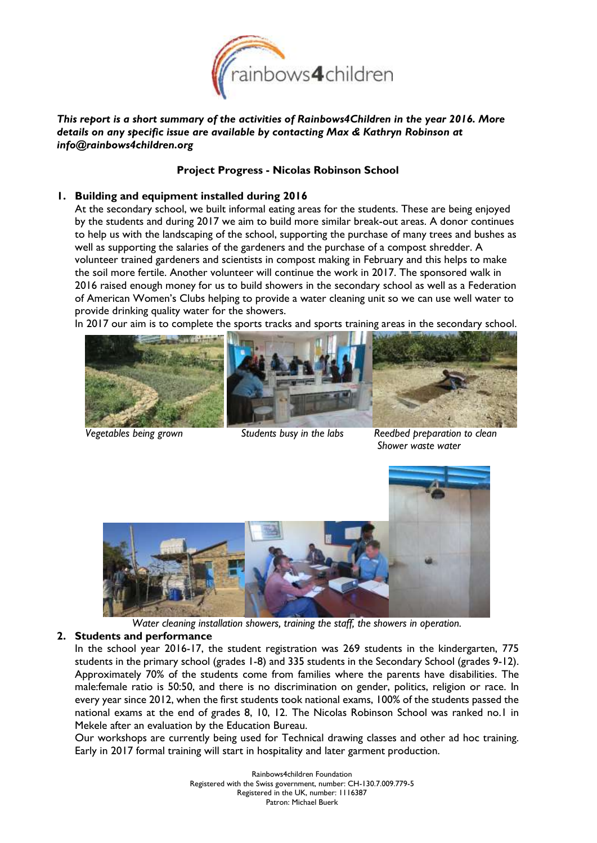

*This report is a short summary of the activities of Rainbows4Children in the year 2016. More details on any specific issue are available by contacting Max & Kathryn Robinson at info@rainbows4children.org*

### **Project Progress - Nicolas Robinson School**

### **1. Building and equipment installed during 2016**

At the secondary school, we built informal eating areas for the students. These are being enjoyed by the students and during 2017 we aim to build more similar break-out areas. A donor continues to help us with the landscaping of the school, supporting the purchase of many trees and bushes as well as supporting the salaries of the gardeners and the purchase of a compost shredder. A volunteer trained gardeners and scientists in compost making in February and this helps to make the soil more fertile. Another volunteer will continue the work in 2017. The sponsored walk in 2016 raised enough money for us to build showers in the secondary school as well as a Federation of American Women's Clubs helping to provide a water cleaning unit so we can use well water to provide drinking quality water for the showers.

In 2017 our aim is to complete the sports tracks and sports training areas in the secondary school.





*Vegetables being grown Students busy in the labs Reedbed preparation to clean Shower waste water* 



*Water cleaning installation showers, training the staff, the showers in operation.*

### **2. Students and performance**

In the school year 2016-17, the student registration was 269 students in the kindergarten, 775 students in the primary school (grades 1-8) and 335 students in the Secondary School (grades 9-12). Approximately 70% of the students come from families where the parents have disabilities. The male:female ratio is 50:50, and there is no discrimination on gender, politics, religion or race. In every year since 2012, when the first students took national exams, 100% of the students passed the national exams at the end of grades 8, 10, 12. The Nicolas Robinson School was ranked no.1 in Mekele after an evaluation by the Education Bureau.

Our workshops are currently being used for Technical drawing classes and other ad hoc training. Early in 2017 formal training will start in hospitality and later garment production.

> Rainbows4children Foundation Registered with the Swiss government, number: CH-130.7.009.779-5 Registered in the UK, number: 1116387 Patron: Michael Buerk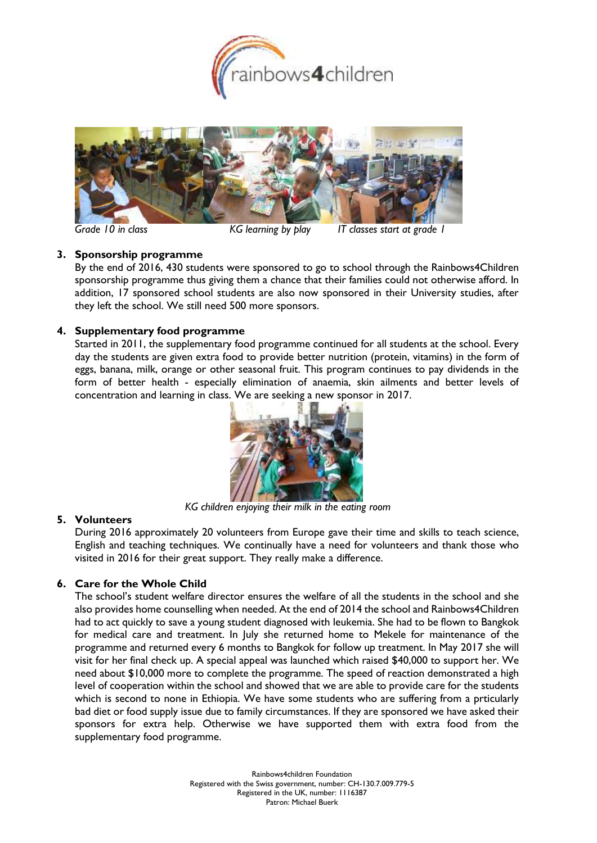



*Grade 10 in class KG learning by play IT classes start at grade 1*

## **3. Sponsorship programme**

By the end of 2016, 430 students were sponsored to go to school through the Rainbows4Children sponsorship programme thus giving them a chance that their families could not otherwise afford. In addition, 17 sponsored school students are also now sponsored in their University studies, after they left the school. We still need 500 more sponsors.

## **4. Supplementary food programme**

Started in 2011, the supplementary food programme continued for all students at the school. Every day the students are given extra food to provide better nutrition (protein, vitamins) in the form of eggs, banana, milk, orange or other seasonal fruit. This program continues to pay dividends in the form of better health - especially elimination of anaemia, skin ailments and better levels of concentration and learning in class. We are seeking a new sponsor in 2017.



*KG children enjoying their milk in the eating room*

## **5. Volunteers**

During 2016 approximately 20 volunteers from Europe gave their time and skills to teach science, English and teaching techniques. We continually have a need for volunteers and thank those who visited in 2016 for their great support. They really make a difference.

# **6. Care for the Whole Child**

The school's student welfare director ensures the welfare of all the students in the school and she also provides home counselling when needed. At the end of 2014 the school and Rainbows4Children had to act quickly to save a young student diagnosed with leukemia. She had to be flown to Bangkok for medical care and treatment. In July she returned home to Mekele for maintenance of the programme and returned every 6 months to Bangkok for follow up treatment. In May 2017 she will visit for her final check up. A special appeal was launched which raised \$40,000 to support her. We need about \$10,000 more to complete the programme. The speed of reaction demonstrated a high level of cooperation within the school and showed that we are able to provide care for the students which is second to none in Ethiopia. We have some students who are suffering from a prticularly bad diet or food supply issue due to family circumstances. If they are sponsored we have asked their sponsors for extra help. Otherwise we have supported them with extra food from the supplementary food programme.